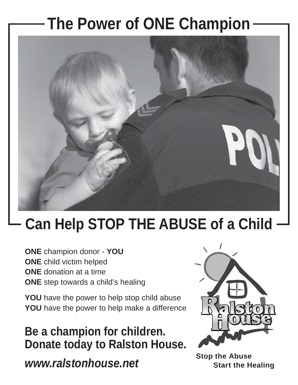## **The Power of ONE Champion**



## **Can Help STOP THE ABUSE of a Child**

**ONE** champion donor - **YOU ONE** child victim helped **ONE** donation at a time **ONE** step towards a child's healing

YOU have the power to help stop child abuse **YOU** have the power to help make a difference

**Be a champion for children. Donate today to Ralston House.**

*www.ralstonhouse.net*



**Stop the Abuse Start the Healing**